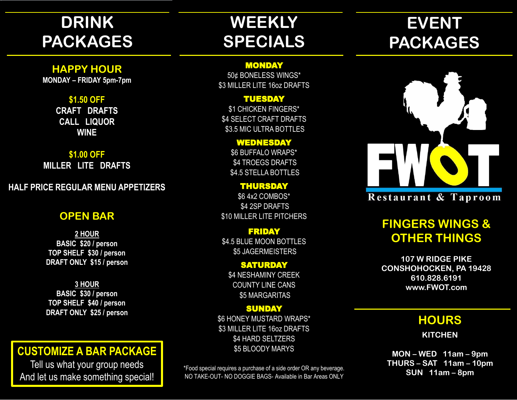# **DRINK PACKAGES**

## **HAPPY HOUR**

**MONDAY – FRIDAY 5pm-7pm**

### **\$1.50 OFF**

**CRAFT DRAFTS CALL LIQUOR WINE**

### **\$1.00 OFF**

**MILLER LITE DRAFTS**

## **HALF PRICE REGULAR MENU APPETIZERS**

## **OPEN BAR**

**2 HOUR BASIC \$20 / person TOP SHELF \$30 / person DRAFT ONLY \$15 / person**

**3 HOUR BASIC \$30 / person TOP SHELF \$40 / person DRAFT ONLY \$25 / person**

# **CUSTOMIZE A BAR PACKAGE**

Tell us what your group needs And let us make something special!

# **WEEKLY SPECIALS**

### MONDAY

50¢ BONELESS WINGS\* \$3 MILLER LITE 16oz DRAFTS

### TUESDAY

\$1 CHICKEN FINGERS\* \$4 SELECT CRAFT DRAFTS \$3.5 MIC ULTRA BOTTLES

## WEDNESDAY

\$6 BUFFALO WRAPS\* \$4 TROEGS DRAFTS \$4.5 STELLA BOTTLES

THURSDAY \$6 4x2 COMBOS\* \$4 2SP DRAFTS \$10 MILLER LITE PITCHERS

### FRIDAY \$4.5 BLUE MOON BOTTLES \$5 JAGERMEISTERS

**SATURDAY** \$4 NESHAMINY CREEK COUNTY LINE CANS \$5 MARGARITAS

### **SUNDAY**

\$6 HONEY MUSTARD WRAPS\* \$3 MILLER LITE 16oz DRAFTS \$4 HARD SELTZERS \$5 BLOODY MARYS

\*Food special requires a purchase of a side order OR any beverage. NO TAKE-OUT- NO DOGGIE BAGS- Available in Bar Areas ONLY

# **EVENT PACKAGES**



# **FINGERS WINGS & OTHER THINGS**

**107 W RIDGE PIKE CONSHOHOCKEN, PA 19428 610.828.6191 www.FWOT.com**

# **HOURS**

**KITCHEN**

**MON – WED 11am – 9pm THURS – SAT 11am – 10pm SUN 11am – 8pm**